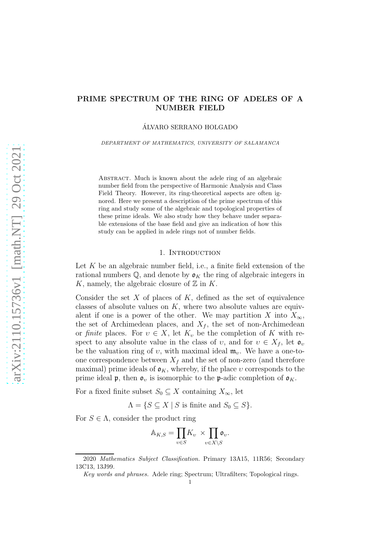# PRIME SPECTRUM OF THE RING OF ADELES OF A NUMBER FIELD

ALVARO SERRANO HOLGADO ´

DEPARTMENT OF MATHEMATICS, UNIVERSITY OF SALAMANCA

ABSTRACT. Much is known about the adele ring of an algebraic number field from the perspective of Harmonic Analysis and Class Field Theory. However, its ring-theoretical aspects are often ignored. Here we present a description of the prime spectrum of this ring and study some of the algebraic and topological properties of these prime ideals. We also study how they behave under separable extensions of the base field and give an indication of how this study can be applied in adele rings not of number fields.

### 1. INTRODUCTION

Let  $K$  be an algebraic number field, i.e., a finite field extension of the rational numbers  $\mathbb{Q}$ , and denote by  $\mathfrak{o}_K$  the ring of algebraic integers in K, namely, the algebraic closure of  $\mathbb Z$  in K.

Consider the set  $X$  of places of  $K$ , defined as the set of equivalence classes of absolute values on  $K$ , where two absolute values are equivalent if one is a power of the other. We may partition X into  $X_{\infty}$ , the set of Archimedean places, and  $X_f$ , the set of non-Archimedean or *finite* places. For  $v \in X$ , let  $K_v$  be the completion of K with respect to any absolute value in the class of v, and for  $v \in X_f$ , let  $\mathfrak{o}_v$ be the valuation ring of v, with maximal ideal  $\mathfrak{m}_{v}$ . We have a one-toone correspondence between  $X_f$  and the set of non-zero (and therefore maximal) prime ideals of  $\mathfrak{o}_K$ , whereby, if the place v corresponds to the prime ideal **p**, then  $\mathfrak{o}_v$  is isomorphic to the **p**-adic completion of  $\mathfrak{o}_K$ .

For a fixed finite subset  $S_0 \subseteq X$  containing  $X_{\infty}$ , let

 $\Lambda = \{ S \subseteq X \mid S \text{ is finite and } S_0 \subseteq S \}.$ 

For  $S \in \Lambda$ , consider the product ring

$$
\mathbb{A}_{K,S} = \prod_{v \in S} K_v \times \prod_{v \in X \setminus S} \mathfrak{o}_v.
$$

<sup>2020</sup> Mathematics Subject Classification. Primary 13A15, 11R56; Secondary 13C13, 13J99.

Key words and phrases. Adele ring; Spectrum; Ultrafilters; Topological rings.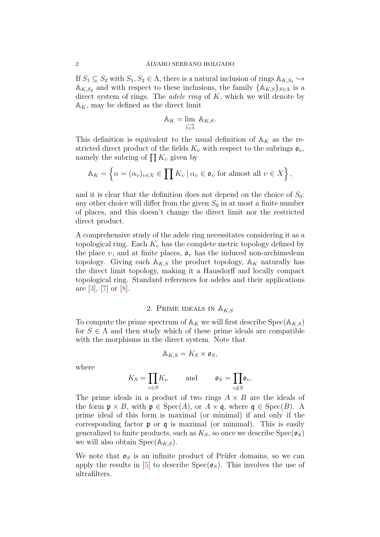If  $S_1 \subseteq S_2$  with  $S_1, S_2 \in \Lambda$ , there is a natural inclusion of rings  $\mathbb{A}_{K,S_1} \hookrightarrow$  $\mathbb{A}_{K,S_2}$  and with respect to these inclusions, the family  $\{\mathbb{A}_{K,S}\}_{S\in\Lambda}$  is a direct system of rings. The *adele ring* of K, which we will denote by  $A_K$ , may be defined as the direct limit

$$
\mathbb{A}_K = \varinjlim_{S \in \Lambda} \mathbb{A}_{K,S}.
$$

This definition is equivalent to the usual definition of  $A_K$  as the restricted direct product of the fields  $K_v$  with respect to the subrings  $\mathfrak{o}_v$ , namely the subring of  $\prod K_v$  given by

$$
\mathbb{A}_K = \left\{ \alpha = (\alpha_v)_{v \in X} \in \prod K_v \mid \alpha_v \in \mathfrak{o}_v \text{ for almost all } v \in X \right\},\
$$

and it is clear that the definition does not depend on the choice of  $S_0$ : any other choice will differ from the given  $S_0$  in at most a finite number of places, and this doesn't change the direct limit nor the restricted direct product.

A comprehensive study of the adele ring necessitates considering it as a topological ring. Each  $K_v$  has the complete metric topology defined by the place v, and at finite places,  $\mathfrak{o}_v$  has the induced non-archimedean topology. Giving each  $A_{K,S}$  the product topology,  $A_K$  naturally has the direct limit topology, making it a Hausdorff and locally compact topological ring. Standard references for adeles and their applications are [\[3\]](#page-13-0), [\[7\]](#page-13-1) or [\[8\]](#page-13-2).

# 2. PRIME IDEALS IN  $\mathbb{A}_{K,S}$

To compute the prime spectrum of  $\mathbb{A}_K$  we will first describe  $Spec(\mathbb{A}_{K,S})$ for  $S \in \Lambda$  and then study which of these prime ideals are compatible with the morphisms in the direct system. Note that

$$
\mathbb{A}_{K,S}=K_S\times \mathfrak{o}_S,
$$

where

$$
K_S = \prod_{v \in S} K_v \quad \text{and} \quad \mathfrak{o}_S = \prod_{v \notin S} \mathfrak{o}_v.
$$

The prime ideals in a product of two rings  $A \times B$  are the ideals of the form  $\mathfrak{p} \times B$ , with  $\mathfrak{p} \in \text{Spec}(A)$ , or  $A \times \mathfrak{q}$ , where  $\mathfrak{q} \in \text{Spec}(B)$ . A prime ideal of this form is maximal (or minimal) if and only if the corresponding factor  $\mathfrak p$  or  $\mathfrak q$  is maximal (or minimal). This is easily generalized to finite products, such as  $K_S$ , so once we describe  $Spec(\mathfrak{o}_S)$ we will also obtain  $Spec(A_{K,S}).$ 

We note that  $\rho_s$  is an infinite product of Prüfer domains, so we can apply the results in [\[5\]](#page-13-3) to describe  $Spec(\mathfrak{o}_S)$ . This involves the use of ultrafilters.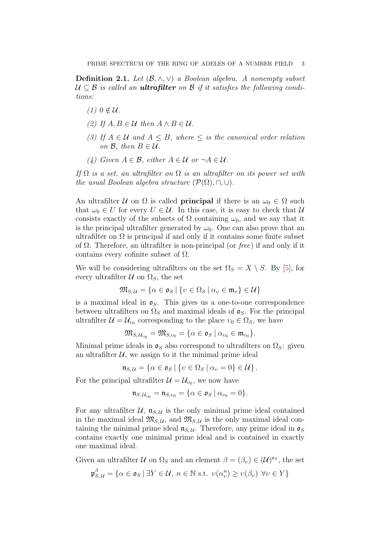Definition 2.1. *Let* (B, ∧, ∨) *a Boolean algebra. A nonempty subset*  $U \subseteq \mathcal{B}$  is called an **ultrafilter** on  $\mathcal{B}$  if it satisfies the following condi*tions:*

- $(1)$  0  $\notin U$ .
- *(2) If*  $A, B \in \mathcal{U}$  *then*  $A \wedge B \in \mathcal{U}$ *.*
- *(3)* If  $A \in \mathcal{U}$  and  $A \leq B$ , where  $\leq$  *is the canonical order relation on*  $\mathcal{B}$ *, then*  $B \in \mathcal{U}$ *.*
- *(4)* Given  $A \in \mathcal{B}$ , either  $A \in \mathcal{U}$  or  $\neg A \in \mathcal{U}$ .

*If* Ω *is a set, an ultrafilter on* Ω *is an ultrafilter on its power set with the usual Boolean algebra structure*  $(\mathcal{P}(\Omega), \cap, \cup)$ *.* 

An ultrafilter U on  $\Omega$  is called **principal** if there is an  $\omega_0 \in \Omega$  such that  $\omega_0 \in U$  for every  $U \in \mathcal{U}$ . In this case, it is easy to check that  $\mathcal{U}$ consists exactly of the subsets of  $\Omega$  containing  $\omega_0$ , and we say that it is the principal ultrafilter generated by  $\omega_0$ . One can also prove that an ultrafilter on  $\Omega$  is principal if and only if it contains some finite subset of Ω. Therefore, an ultrafilter is non-principal (or *free*) if and only if it contains every cofinite subset of  $\Omega$ .

We will be considering ultrafilters on the set  $\Omega_S = X \setminus S$ . By [\[5\]](#page-13-3), for every ultrafilter  $\mathcal U$  on  $\Omega_S$ , the set

$$
\mathfrak{M}_{S,\,\mathcal{U}} = \{ \alpha \in \mathfrak{o}_S \mid \{ \upsilon \in \Omega_S \mid \alpha_\upsilon \in \mathfrak{m}_\upsilon \} \in \mathcal{U} \}
$$

is a maximal ideal in  $\rho_{S}$ . This gives us a one-to-one correspondence between ultrafilters on  $\Omega_S$  and maximal ideals of  $\mathfrak{o}_S$ . For the principal ultrafilter  $\mathcal{U} = \mathcal{U}_{v_0}$  corresponding to the place  $v_0 \in \Omega_S$ , we have

$$
\mathfrak{M}_{S,\,\mathcal{U}_{v_0}}=\mathfrak{M}_{S,v_0}=\{\alpha\in\mathfrak{o}_S\ |\ \alpha_{v_0}\in\mathfrak{m}_{v_0}\}.
$$

Minimal prime ideals in  $\mathfrak{o}_S$  also correspond to ultrafilters on  $\Omega_S$ : given an ultrafilter  $\mathcal{U}$ , we assign to it the minimal prime ideal

$$
\mathfrak{n}_{S,\,\mathcal{U}}=\{\alpha\in\mathfrak{o}_S\mid\{v\in\Omega_S\mid\alpha_v=0\}\in\mathcal{U}\}\.
$$

For the principal ultrafilter  $\mathcal{U} = \mathcal{U}_{v_0}$ , we now have

$$
\mathfrak{n}_{S,\,\mathcal{U}_{v_0}}=\mathfrak{n}_{S,v_0}=\{\alpha\in\mathfrak{o}_S\mid\alpha_{v_0}=0\}.
$$

For any ultrafilter  $\mathcal{U}$ ,  $\mathfrak{n}_{S,\mathcal{U}}$  is the only minimal prime ideal contained in the maximal ideal  $\mathfrak{M}_{S,\mathcal{U}}$ , and  $\mathfrak{M}_{S,\mathcal{U}}$  is the only maximal ideal containing the minimal prime ideal  $\mathfrak{n}_{S,\mathcal{U}}$ . Therefore, any prime ideal in  $\mathfrak{o}_S$ contains exactly one minimal prime ideal and is contained in exactly one maximal ideal.

Given an ultrafilter  $\mathcal U$  on  $\Omega_S$  and an element  $\beta = (\beta_v) \in (\mathcal U)^{\mathfrak o_S}$ , the set

$$
\mathfrak{p}_{S,\mathcal{U}}^{\beta} = \{ \alpha \in \mathfrak{o}_S \mid \exists Y \in \mathcal{U}, \ n \in \mathbb{N} \text{ s.t. } v(\alpha_v^n) \ge v(\beta_v) \ \forall v \in Y \}
$$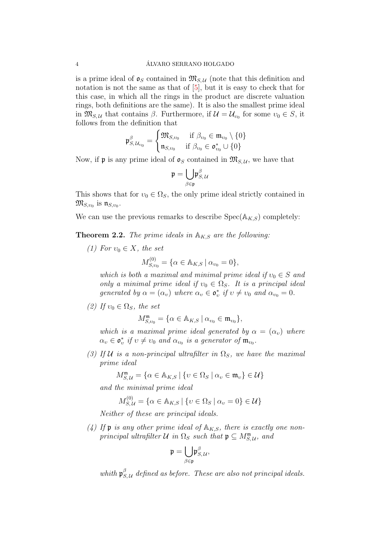is a prime ideal of  $\mathfrak{o}_S$  contained in  $\mathfrak{M}_{S,\mathcal{U}}$  (note that this definition and notation is not the same as that of [\[5\]](#page-13-3), but it is easy to check that for this case, in which all the rings in the product are discrete valuation rings, both definitions are the same). It is also the smallest prime ideal in  $\mathfrak{M}_{S,\mathcal{U}}$  that contains  $\beta$ . Furthermore, if  $\mathcal{U} = \mathcal{U}_{v_0}$  for some  $v_0 \in S$ , it follows from the definition that

$$
\mathfrak{p}^{\beta}_{S,\,\mathcal{U}_{v_0}} = \begin{cases} \mathfrak{M}_{S,v_0} & \text{if } \beta_{v_0} \in \mathfrak{m}_{v_0} \setminus \{0\} \\ \mathfrak{n}_{S,v_0} & \text{if } \beta_{v_0} \in \mathfrak{o}_{v_0}^* \cup \{0\} \end{cases}
$$

Now, if **p** is any prime ideal of  $\mathfrak{o}_S$  contained in  $\mathfrak{M}_{S,\mathcal{U}}$ , we have that

$$
\mathfrak{p}=\underset{\beta\in\mathfrak{p}}{\bigcup}\mathfrak{p}_{S,\,\mathcal{U}}^{\beta}
$$

This shows that for  $v_0 \in \Omega_S$ , the only prime ideal strictly contained in  $\mathfrak{M}_{S,v_0}$  is  $\mathfrak{n}_{S,v_0}.$ 

We can use the previous remarks to describe  $Spec(A_{K,S})$  completely:

**Theorem 2.2.** *The prime ideals in*  $A_{K,S}$  *are the following:* 

*(1)* For  $v_0 \in X$ *, the set* 

$$
M_{S,v_0}^{(0)} = \{ \alpha \in \mathbb{A}_{K,S} \mid \alpha_{v_0} = 0 \},\
$$

*which is both a maximal and minimal prime ideal if*  $v_0 \in S$  *and only a minimal prime ideal if*  $v_0 \in \Omega_S$ . It is a principal ideal *generated by*  $\alpha = (\alpha_v)$  *where*  $\alpha_v \in \mathfrak{o}_v^*$  *if*  $v \neq v_0$  *and*  $\alpha_{v_0} = 0$ *.* 

*(2)* If  $v_0 \in \Omega_S$ *, the set* 

$$
M^{\mathfrak{m}}_{S,v_0} = \{ \alpha \in \mathbb{A}_{K,S} \mid \alpha_{v_0} \in \mathfrak{m}_{v_0} \},
$$

*which is a maximal prime ideal generated by*  $\alpha = (\alpha_v)$  *where*  $\alpha_v \in \mathfrak{o}_v^*$  if  $v \neq v_0$  and  $\alpha_{v_0}$  is a generator of  $\mathfrak{m}_{v_0}$ .

*(3) If U is a non-principal ultrafilter in*  $\Omega_S$ *, we have the maximal prime ideal*

$$
M_{S,\mathcal{U}}^{\mathfrak{m}} = \{ \alpha \in \mathbb{A}_{K,S} \mid \{ \upsilon \in \Omega_S \mid \alpha_{\upsilon} \in \mathfrak{m}_{\upsilon} \} \in \mathcal{U} \}
$$

*and the minimal prime ideal*

$$
M_{S,\mathcal{U}}^{(0)} = \{ \alpha \in \mathbb{A}_{K,S} \mid \{ v \in \Omega_S \mid \alpha_v = 0 \} \in \mathcal{U} \}
$$

*Neither of these are principal ideals.*

(4) If **p** is any other prime ideal of  $A_{K,S}$ , there is exactly one non*principal ultrafilter*  $U$  *in*  $\Omega_S$  *such that*  $\mathfrak{p} \subseteq M_{S,U}^{\mathfrak{m}}$ *, and* 

$$
\mathfrak{p}=\underset{\beta\in\mathfrak{p}}{\bigcup}\mathfrak{p}^{\beta}_{S,\,\mathcal{U}},
$$

whith  $\mathfrak{p}_S^{\beta}$  $_{S,\,\mathcal{U}}^{\scriptscriptstyle\mathcal{P}}$  defined as before. These are also not principal ideals.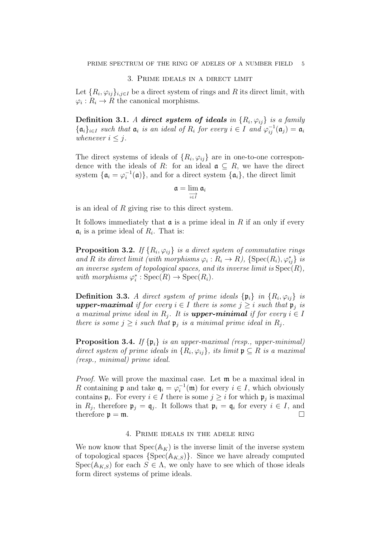#### 3. Prime ideals in a direct limit

Let  $\{R_i, \varphi_{ij}\}_{i,j\in I}$  be a direct system of rings and R its direct limit, with  $\varphi_i: R_i \to R$  the canonical morphisms.

Definition 3.1. *A* direct system of ideals in  $\{R_i, \varphi_{ij}\}$  is a family  $\{\mathfrak{a}_i\}_{i\in I}$  such that  $\mathfrak{a}_i$  is an ideal of  $R_i$  for every  $i \in I$  and  $\varphi_{ij}^{-1}(\mathfrak{a}_j) = \mathfrak{a}_i$ *whenever*  $i \leq j$ *.* 

The direct systems of ideals of  $\{R_i, \varphi_{ij}\}\$ are in one-to-one correspondence with the ideals of R: for an ideal  $\mathfrak{a} \subseteq R$ , we have the direct system  $\{a_i = \varphi_i^{-1}\}$  $i^{-1}(\mathfrak{a})\}$ , and for a direct system  $\{\mathfrak{a}_i\}$ , the direct limit

$$
\mathfrak{a}=\lim_{\substack{\longrightarrow\\ i\in I}}\mathfrak{a}_i
$$

is an ideal of  $R$  giving rise to this direct system.

It follows immediately that  $\alpha$  is a prime ideal in R if an only if every  $a_i$  is a prime ideal of  $R_i$ . That is:

**Proposition 3.2.** If  $\{R_i, \varphi_{ij}\}$  is a direct system of commutative rings and *R* its direct limit (with morphisms  $\varphi_i : R_i \to R$ ), {Spec(R<sub>i</sub>),  $\varphi_{ij}^*$ } is *an inverse system of topological spaces, and its inverse limit is* Spec(R)*,* with morphisms  $\varphi_i^* : \text{Spec}(R) \to \text{Spec}(R_i)$ .

**Definition 3.3.** *A direct system of prime ideals*  $\{\mathfrak{p}_i\}$  *in*  $\{R_i, \varphi_{ij}\}$  *is* **upper-maximal** if for every  $i \in I$  there is some  $j \geq i$  such that  $\mathfrak{p}_j$  is *a* maximal prime ideal in  $R_j$ . It is **upper-minimal** if for every  $i \in I$ *there is some*  $j \geq i$  *such that*  $\mathfrak{p}_j$  *is a minimal prime ideal in*  $R_j$ *.* 

Proposition 3.4. *If* {pi} *is an upper-maximal (resp., upper-minimal) direct system of prime ideals in*  $\{R_i, \varphi_{ij}\}\$ *, its limit*  $\mathfrak{p} \subseteq R$  *is a maximal (resp., minimal) prime ideal.*

*Proof.* We will prove the maximal case. Let m be a maximal ideal in R containing **p** and take  $\mathbf{q}_i = \varphi_i^{-1}$  $i^{-1}(\mathfrak{m})$  for every  $i \in I$ , which obviously contains  $\mathfrak{p}_i$ . For every  $i \in I$  there is some  $j \geq i$  for which  $\mathfrak{p}_j$  is maximal in  $R_j$ , therefore  $\mathfrak{p}_j = \mathfrak{q}_j$ . It follows that  $\mathfrak{p}_i = \mathfrak{q}_i$  for every  $i \in I$ , and therefore  $\mathfrak{p} = \mathfrak{m}$ .

## 4. Prime ideals in the adele ring

<span id="page-4-0"></span>We now know that  $Spec(A_K)$  is the inverse limit of the inverse system of topological spaces  $\{Spec(A_{K,S})\}$ . Since we have already computed  $Spec(A_{K,S})$  for each  $S \in \Lambda$ , we only have to see which of those ideals form direct systems of prime ideals.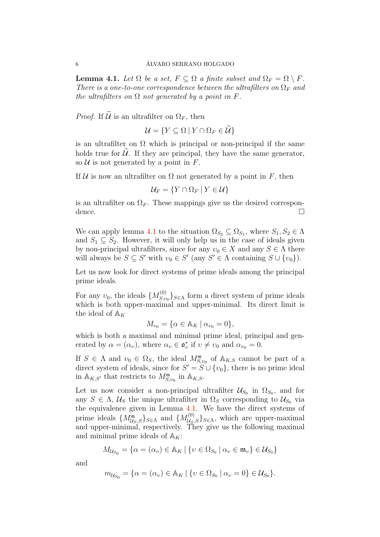<span id="page-5-0"></span>**Lemma 4.1.** Let  $\Omega$  be a set,  $F \subseteq \Omega$  a finite subset and  $\Omega_F = \Omega \setminus F$ . *There is a one-to-one correspondence between the ultrafilters on*  $\Omega_F$  *and the ultrafilters on*  $\Omega$  *not generated by a point in*  $F$ .

*Proof.* If  $\widetilde{\mathcal{U}}$  is an ultrafilter on  $\Omega_F$ , then

$$
\mathcal{U} = \{ Y \subseteq \Omega \mid Y \cap \Omega_F \in \mathcal{U} \}
$$

is an ultrafilter on  $\Omega$  which is principal or non-principal if the same holds true for  $U$ . If they are principal, they have the same generator, so  $U$  is not generated by a point in  $F$ .

If U is now an ultrafilter on  $\Omega$  not generated by a point in F, then

$$
\mathcal{U}_F = \{ Y \cap \Omega_F \mid Y \in \mathcal{U} \}
$$

is an ultrafilter on  $\Omega_F$ . These mappings give us the desired correspondence.

We can apply lemma [4.1](#page-5-0) to the situation  $\Omega_{S_2} \subseteq \Omega_{S_1}$ , where  $S_1, S_2 \in \Lambda$ and  $S_1 \subseteq S_2$ . However, it will only help us in the case of ideals given by non-principal ultrafilters, since for any  $v_0 \in X$  and any  $S \in \Lambda$  there will always be  $S \subseteq S'$  with  $v_0 \in S'$  (any  $S' \in \Lambda$  containing  $S \cup \{v_0\}$ ).

Let us now look for direct systems of prime ideals among the principal prime ideals.

For any  $v_0$ , the ideals  $\{M_{S,v}^{(0)}\}$  $\{S, v_0\}_{S \in \Lambda}$  form a direct system of prime ideals which is both upper-maximal and upper-minimal. Its direct limit is the ideal of  $\mathbb{A}_K$ 

$$
M_{v_0} = \{ \alpha \in A_K \mid \alpha_{v_0} = 0 \},
$$

which is both a maximal and minimal prime ideal, principal and generated by  $\alpha = (\alpha_v)$ , where  $\alpha_v \in \mathfrak{o}_v^*$  if  $v \neq v_0$  and  $\alpha_{v_0} = 0$ .

If  $S \in \Lambda$  and  $v_0 \in \Omega_S$ , the ideal  $M^{\mathfrak{m}}_{S,v_0}$  of  $\mathbb{A}_{K,S}$  cannot be part of a direct system of ideals, since for  $S' = S \cup \{v_0\}$ , there is no prime ideal in  $\mathbb{A}_{K,S'}$  that restricts to  $M^{\mathfrak{m}}_{S,v_0}$  in  $\mathbb{A}_{K,S}$ .

Let us now consider a non-principal ultrafilter  $\mathcal{U}_{S_0}$  in  $\Omega_{S_0}$ , and for any  $S \in \Lambda$ ,  $\mathcal{U}_S$  the unique ultrafilter in  $\Omega_S$  corresponding to  $\mathcal{U}_{S_0}$  via the equivalence given in Lemma [4.1.](#page-5-0) We have the direct systems of prime ideals  $\{M^{\mathfrak{m}}_{\mathcal{U}_S,S}\}_{S\in\Lambda}$  and  $\{M^{(0)}_{\mathcal{U}_S,S}\}_{S\in\Lambda}$ , which are upper-maximal and upper-minimal, respectively. They give us the following maximal and minimal prime ideals of  $A_K$ :

$$
M_{\mathcal{U}_{S_0}} = \{ \alpha = (\alpha_v) \in \mathbb{A}_K \mid \{ v \in \Omega_{S_0} \mid \alpha_v \in \mathfrak{m}_v \} \in \mathcal{U}_{S_0} \}
$$

and

$$
m_{\mathcal{U}_{S_0}} = \{ \alpha = (\alpha_v) \in A_K \mid \{ v \in \Omega_{S_0} \mid \alpha_v = 0 \} \in \mathcal{U}_{S_0} \}.
$$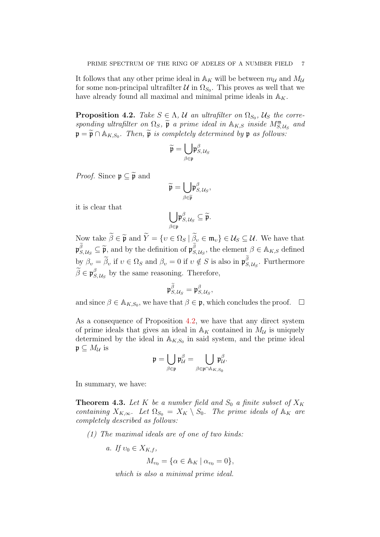It follows that any other prime ideal in  $\mathbb{A}_K$  will be between  $m_\mathcal{U}$  and  $M_\mathcal{U}$ for some non-principal ultrafilter  $\mathcal{U}$  in  $\Omega_{S_0}$ . This proves as well that we have already found all maximal and minimal prime ideals in  $\mathbb{A}_K$ .

<span id="page-6-0"></span>**Proposition 4.2.** *Take*  $S \in \Lambda$ ,  $\mathcal{U}$  *an ultrafilter on*  $\Omega_{S_0}$ ,  $\mathcal{U}_S$  *the corre* $sponding$  *ultrafilter on*  $\Omega_S$ ,  $\widetilde{\mathfrak{p}}$  *a prime ideal in*  $\mathbb{A}_{K,S}$  *inside*  $M_{S,\mathcal{U}_S}^{\mathfrak{m}}$  *and*  $\mathfrak{p} = \widetilde{\mathfrak{p}} \cap \mathbb{A}_{K,S_0}$ . Then,  $\widetilde{\mathfrak{p}}$  is completely determined by  $\mathfrak{p}$  as follows:

$$
\widetilde{\mathfrak{p}} = \bigcup_{\beta \in \mathfrak{p}} \mathfrak{p}^\beta_{S,\,\mathcal{U}_S}
$$

*Proof.* Since  $\mathfrak{p} \subseteq \widetilde{\mathfrak{p}}$  and

$$
\widetilde{\mathfrak{p}} = \bigcup_{\beta \in \widetilde{\mathfrak{p}}} \mathfrak{p}^{\beta}_{S, \, \mathcal{U}_S},
$$

it is clear that

$$
\underset{\beta \in \mathfrak{p}}{\bigcup} \mathfrak{p}^{\beta}_{S,\,\mathcal{U}_S} \subseteq \widetilde{\mathfrak{p}}.
$$

Now take  $\beta \in \widetilde{\mathfrak{p}}$  and  $Y = \{v \in \Omega_S \mid \beta_v \in \mathfrak{m}_v\} \in \mathcal{U}_S \subseteq \mathcal{U}$ . We have that  $\mathfrak{p}_{S,\mathcal{U}_S}^{\widetilde{\beta}} \subseteq \widetilde{\mathfrak{p}},$  and by the definition of  $\mathfrak{p}_{S}^{\widetilde{\beta}}$  $S_{S,\mathcal{U}_S}^{\beta}$ , the element  $\beta \in A_{K,S}$  defined by  $\beta_v = \tilde{\beta}_v$  if  $v \in \Omega_S$  and  $\beta_v = 0$  if  $v \notin S$  is also in  $\mathfrak{p}_S^{\tilde{\beta}}$  $S_{S,\mathcal{U}_S}^{\rho}$ . Furthermore  $\widetilde{\beta}\in\mathfrak{p}_S^{\beta}$  $S_{S,\mathcal{U}_S}^{\rho}$  by the same reasoning. Therefore,

$$
\mathfrak{p}_{S,\mathcal{U}_S}^{\widetilde{\beta}}=\mathfrak{p}_{S,\mathcal{U}_S}^{\beta},
$$

and since  $\beta \in A_{K,S_0}$ , we have that  $\beta \in \mathfrak{p}$ , which concludes the proof.  $\Box$ 

As a consequence of Proposition [4.2,](#page-6-0) we have that any direct system of prime ideals that gives an ideal in  $A_K$  contained in  $M_{\mathcal{U}}$  is uniquely determined by the ideal in  $\mathbb{A}_{K,S_0}$  in said system, and the prime ideal  $\mathfrak{p} \subseteq M_{\mathcal{U}}$  is

$$
\mathfrak{p}=\bigcup_{\beta\in\mathfrak{p}}\mathfrak{p}_\mathcal{U}^\beta=\bigcup_{\beta\in\mathfrak{p}\cap\mathbb{A}_{K,S_0}}\mathfrak{p}_{\mathcal{U}}^\beta.
$$

In summary, we have:

**Theorem 4.3.** Let K be a number field and  $S_0$  a finite subset of  $X_K$ *containing*  $X_{K,\infty}$ *. Let*  $\Omega_{S_0} = X_K \setminus S_0$ *. The prime ideals of*  $\mathbb{A}_K$  *are completely described as follows:*

*(1) The maximal ideals are of one of two kinds:*

a. If 
$$
v_0 \in X_{K,f}
$$
,  
\n
$$
M_{v_0} = \{ \alpha \in \mathbb{A}_K \mid \alpha_{v_0} = 0 \},
$$
\nwhich is also a minimal prime ideal

*which is also a minimal prime ideal.*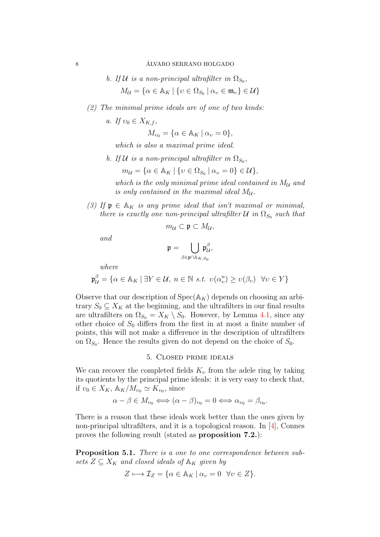b. If 
$$
U
$$
 is a non-principal ultrafilter in  $\Omega_{S_0}$ ,  
\n
$$
M_U = \{ \alpha \in \mathbb{A}_K \mid \{ v \in \Omega_{S_0} \mid \alpha_v \in \mathfrak{m}_v \} \in U \}
$$

- *(2) The minimal prime ideals are of one of two kinds:*
	- *a.* If  $v_0 \in X_{K,f}$ ,

$$
M_{v_0} = \{ \alpha \in \mathbb{A}_K \mid \alpha_v = 0 \},
$$

*which is also a maximal prime ideal.*

*b.* If U is a non-principal ultrafilter in  $\Omega_{S_0}$ ,

$$
m_{\mathcal{U}} = \{ \alpha \in \mathbb{A}_K \mid \{ v \in \Omega_{S_0} \mid \alpha_v = 0 \} \in \mathcal{U} \},
$$

which is the only minimal prime ideal contained in  $M_{\mathcal{U}}$  and *is only contained in the maximal ideal*  $M_{\mathcal{U}}$ *.* 

*(3)* If  $\mathfrak{p} \in A_K$  *is any prime ideal that isn't maximal or minimal, there is exactly one non-principal ultrafilter*  $U$  *in*  $\Omega_{S_0}$  *such that* 

$$
m_{\mathcal{U}}\subset\mathfrak{p}\subset M_{\mathcal{U}},
$$

*and*

$$
\mathfrak{p}=\bigcup_{\beta\in\mathfrak{p}\cap\mathbb{A}_{K,S_0}}\!\!\!\!\!\mathfrak{p}^\beta_{\mathcal{U}},
$$

*where*

$$
\mathfrak{p}^{\beta}_{\mathcal{U}} = \{ \alpha \in \mathbb{A}_K \mid \exists Y \in \mathcal{U}, \ n \in \mathbb{N} \ s.t. \ v(\alpha^n_v) \ge v(\beta_v) \ \forall v \in Y \}
$$

Observe that our description of  $Spec(A_K)$  depends on choosing an arbitrary  $S_0 \subseteq X_K$  at the beginning, and the ultrafilters in our final results are ultrafilters on  $\Omega_{S_0} = X_K \setminus S_0$ . However, by Lemma [4.1,](#page-5-0) since any other choice of  $S_0$  differs from the first in at most a finite number of points, this will not make a difference in the description of ultrafilters on  $\Omega_{S_0}$ . Hence the results given do not depend on the choice of  $S_0$ .

## 5. Closed prime ideals

We can recover the completed fields  $K_v$  from the adele ring by taking its quotients by the principal prime ideals: it is very easy to check that, if  $v_0 \in X_K$ ,  $\mathbb{A}_K/M_{v_0} \simeq K_{v_0}$ , since

 $\alpha - \beta \in M_{\nu_0} \Longleftrightarrow (\alpha - \beta)_{\nu_0} = 0 \Longleftrightarrow \alpha_{\nu_0} = \beta_{\nu_0}.$ 

There is a reason that these ideals work better than the ones given by non-principal ultrafilters, and it is a topological reason. In [\[4\]](#page-13-4), Connes proves the following result (stated as proposition 7.2.):

Proposition 5.1. *There is a one to one correspondence between sub*sets  $Z \subseteq X_K$  and closed ideals of  $\mathbb{A}_K$  given by

$$
Z \longmapsto \mathcal{I}_Z = \{ \alpha \in \mathbb{A}_K \mid \alpha_v = 0 \ \forall v \in Z \}.
$$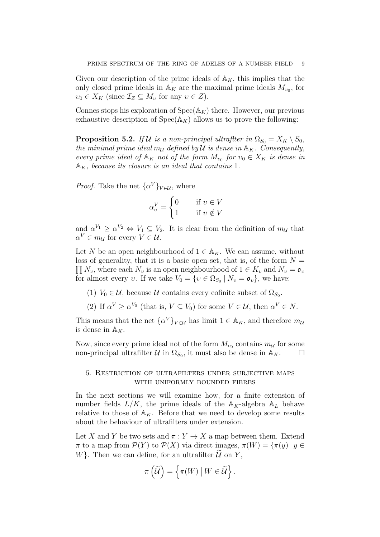Given our description of the prime ideals of  $\mathbb{A}_K$ , this implies that the only closed prime ideals in  $\mathbb{A}_K$  are the maximal prime ideals  $M_{\nu_0}$ , for  $v_0 \in X_K$  (since  $\mathcal{I}_Z \subseteq M_v$  for any  $v \in Z$ ).

Connes stops his exploration of  $Spec(\mathbb{A}_{K})$  there. However, our previous exhaustive description of  $Spec(A_K)$  allows us to prove the following:

**Proposition 5.2.** *If*  $U$  *is a non-principal ultrafiter in*  $\Omega_{S_0} = X_K \setminus S_0$ , *the minimal prime ideal m<sub>U</sub> defined by*  $U$  *is dense in*  $\mathbb{A}_K$ *. Consequently, every prime ideal of*  $\mathbb{A}_K$  *not of the form*  $M_{\nu_0}$  *for*  $\nu_0 \in X_K$  *is dense in*  $\mathbb{A}_{K}$ *, because its closure is an ideal that contains* 1.

*Proof.* Take the net  $\{\alpha^V\}_{V \in \mathcal{U}}$ , where

$$
\alpha_v^V = \begin{cases} 0 & \text{if } v \in V \\ 1 & \text{if } v \notin V \end{cases}
$$

and  $\alpha^{V_1} \geq \alpha^{V_2} \Leftrightarrow V_1 \subseteq V_2$ . It is clear from the definition of  $m_{\mathcal{U}}$  that  $\alpha^V \in m_{\mathcal{U}}$  for every  $V \in \mathcal{U}$ .

Let N be an open neighbourhood of  $1 \in A_K$ . We can assume, without loss of generality, that it is a basic open set, that is, of the form  $N =$  $\prod N_v$ , where each  $N_v$  is an open neighbourhood of  $1 \in K_v$  and  $N_v = \mathfrak{o}_v$ for almost every v. If we take  $V_0 = \{v \in \Omega_{S_0} \mid N_v = \mathfrak{o}_v\}$ , we have:

- (1)  $V_0 \in \mathcal{U}$ , because  $\mathcal{U}$  contains every cofinite subset of  $\Omega_{S_0}$ .
- (2) If  $\alpha^V \ge \alpha^{V_0}$  (that is,  $V \subseteq V_0$ ) for some  $V \in \mathcal{U}$ , then  $\alpha^V \in N$ .

This means that the net  $\{\alpha^V\}_{V \in \mathcal{U}}$  has limit  $1 \in \mathbb{A}_K$ , and therefore  $m_{\mathcal{U}}$ is dense in  $\mathbb{A}_K$ .

Now, since every prime ideal not of the form  $M_{\nu_0}$  contains  $m_{\mathcal{U}}$  for some non-principal ultrafilter  $\mathcal U$  in  $\Omega_{S_0}$ , it must also be dense in  $\mathbb A_K$ .

# 6. Restriction of ultrafilters under surjective maps with uniformly bounded fibres

In the next sections we will examine how, for a finite extension of number fields  $L/K$ , the prime ideals of the  $A_K$ -algebra  $A_L$  behave relative to those of  $\mathbb{A}_K$ . Before that we need to develop some results about the behaviour of ultrafilters under extension.

Let X and Y be two sets and  $\pi: Y \to X$  a map between them. Extend  $\pi$  to a map from  $\mathcal{P}(Y)$  to  $\mathcal{P}(X)$  via direct images,  $\pi(W) = {\pi(y) | y \in \mathcal{P}(Y)}$  $W$ . Then we can define, for an ultrafilter  $U$  on Y,

$$
\pi\left(\widetilde{\mathcal{U}}\right) = \left\{\pi(W) \mid W \in \widetilde{\mathcal{U}}\right\}.
$$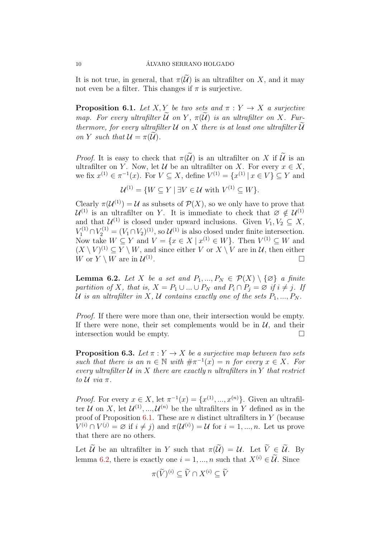It is not true, in general, that  $\pi(\widetilde{\mathcal{U}})$  is an ultrafilter on X, and it may not even be a filter. This changes if  $\pi$  is surjective.

<span id="page-9-0"></span>**Proposition 6.1.** *Let* X, Y *be two sets and*  $\pi : Y \to X$  *a surjective map.* For every ultrafilter  $\widetilde{\mathcal{U}}$  on Y,  $\pi(\widetilde{\mathcal{U}})$  is an ultrafilter on X. Fur*thermore, for every ultrafilter*  $U$  *on*  $X$  *there is at least one ultrafilter*  $U$ *on* Y *such that*  $\mathcal{U} = \pi(\mathcal{U})$ *.* 

*Proof.* It is easy to check that  $\pi(\widetilde{\mathcal{U}})$  is an ultrafilter on X if  $\widetilde{\mathcal{U}}$  is an ultrafilter on Y. Now, let U be an ultrafilter on X. For every  $x \in X$ , we fix  $x^{(1)} \in \pi^{-1}(x)$ . For  $V \subseteq X$ , define  $V^{(1)} = \{x^{(1)} | x \in V\} \subseteq Y$  and

 $\mathcal{U}^{(1)} = \{W \subseteq Y \mid \exists V \in \mathcal{U} \text{ with } V^{(1)} \subseteq W\}.$ 

Clearly  $\pi(\mathcal{U}^{(1)}) = \mathcal{U}$  as subsets of  $\mathcal{P}(X)$ , so we only have to prove that  $\mathcal{U}^{(1)}$  is an ultrafilter on Y. It is immediate to check that  $\varnothing \notin \mathcal{U}^{(1)}$ and that  $\mathcal{U}^{(1)}$  is closed under upward inclusions. Given  $V_1, V_2 \subseteq X$ ,  $V_1^{(1)} \cap V_2^{(1)} = (V_1 \cap V_2)^{(1)}$ , so  $\mathcal{U}^{(1)}$  is also closed under finite intersection. Now take  $W \subseteq Y$  and  $V = \{x \in X \mid x^{(1)} \in W\}$ . Then  $V^{(1)} \subseteq W$  and  $(X \setminus V)^{(1)} \subseteq Y \setminus W$ , and since either V or  $X \setminus V$  are in U, then either W or  $Y \setminus W$  are in  $\mathcal{U}^{(1)}$ .

<span id="page-9-1"></span>**Lemma 6.2.** Let X be a set and  $P_1, ..., P_N \in \mathcal{P}(X) \setminus \{\emptyset\}$  a finite *partition of* X*, that is,*  $X = P_1 \cup ... \cup P_N$  *and*  $P_i \cap P_j = \emptyset$  *if*  $i \neq j$ *. If* U is an ultrafilter in X, U contains exactly one of the sets  $P_1, ..., P_N$ .

*Proof.* If there were more than one, their intersection would be empty. If there were none, their set complements would be in  $\mathcal{U}$ , and their intersection would be empty.

<span id="page-9-2"></span>**Proposition 6.3.** *Let*  $\pi: Y \to X$  *be a surjective map between two sets such that there is an*  $n \in \mathbb{N}$  *with*  $\#\pi^{-1}(x) = n$  *for every*  $x \in X$ *. For every ultrafilter*  $U$  *in*  $X$  *there are exactly*  $n$  *ultrafilters in*  $Y$  *that restrict*  $to \mathcal{U}$  *via*  $\pi$ *.* 

*Proof.* For every  $x \in X$ , let  $\pi^{-1}(x) = \{x^{(1)}, ..., x^{(n)}\}$ . Given an ultrafilter U on X, let  $\mathcal{U}^{(1)},...,\mathcal{U}^{(n)}$  be the ultrafilters in Y defined as in the proof of Proposition [6.1.](#page-9-0) These are  $n$  distinct ultrafilters in  $Y$  (because  $V^{(i)} \cap V^{(j)} = \varnothing$  if  $i \neq j$ ) and  $\pi(\mathcal{U}^{(i)}) = \mathcal{U}$  for  $i = 1, ..., n$ . Let us prove that there are no others.

Let  $\widetilde{U}$  be an ultrafilter in Y such that  $\pi(\widetilde{U}) = U$ . Let  $\widetilde{V} \in \widetilde{U}$ . By lemma [6.2,](#page-9-1) there is exactly one  $i = 1, ..., n$  such that  $X^{(i)} \in \widetilde{\mathcal{U}}$ . Since

$$
\pi(\widetilde{V})^{(i)} \subseteq \widetilde{V} \cap X^{(i)} \subseteq \widetilde{V}
$$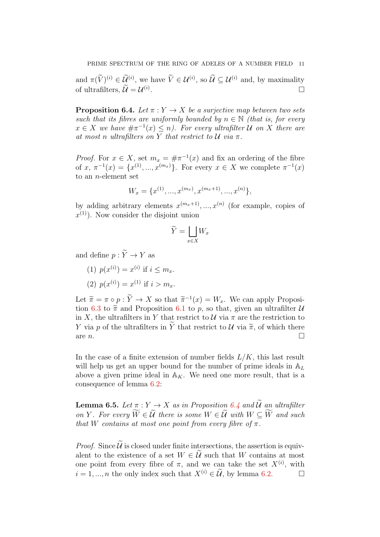and  $\pi(\tilde{V})^{(i)} \in \mathcal{U}^{(i)}$ , we have  $\tilde{V} \in \mathcal{U}^{(i)}$ , so  $\tilde{\mathcal{U}} \subseteq \mathcal{U}^{(i)}$  and, by maximality of ultrafilters,  $\mathcal{U} = \mathcal{U}^{(i)}$ .

<span id="page-10-0"></span>**Proposition 6.4.** *Let*  $\pi: Y \to X$  *be a surjective map between two sets such that its fibres are uniformly bounded by*  $n \in \mathbb{N}$  *(that is, for every*  $x \in X$  we have  $\#\pi^{-1}(x) \leq n$ . For every ultrafilter U on X there are *at most n ultrafilters on Y that restrict to*  $U$  *via*  $\pi$ *.* 

*Proof.* For  $x \in X$ , set  $m_x = \#\pi^{-1}(x)$  and fix an ordering of the fibre of  $x, \pi^{-1}(x) = \{x^{(1)}, ..., x^{(m_x)}\}.$  For every  $x \in X$  we complete  $\pi^{-1}(x)$ to an n-element set

$$
W_x = \{x^{(1)}, ..., x^{(m_x)}, x^{(m_x+1)}, ..., x^{(n)}\},\,
$$

by adding arbitrary elements  $x^{(m_x+1)},...,x^{(n)}$  (for example, copies of  $x^{(1)}$ ). Now consider the disjoint union

$$
\widetilde{Y} = \bigsqcup_{x \in X} W_x
$$

and define  $p: \widetilde{Y} \rightarrow Y$  as

(1)  $p(x^{(i)}) = x^{(i)}$  if  $i \leq m_x$ . (2)  $p(x^{(i)}) = x^{(1)}$  if  $i > m_x$ .

Let  $\widetilde{\pi} = \pi \circ p : Y \to X$  so that  $\widetilde{\pi}^{-1}(x) = W_x$ . We can apply Proposition 6.2 to  $\widetilde{\pi}$  and Proposition 6.1 to  $x$  as that given an ultrafilton 14 tion [6.3](#page-9-2) to  $\tilde{\pi}$  and Proposition [6.1](#page-9-0) to p, so that, given an ultrafilter U in X, the ultrafilters in Y that restrict to  $\mathcal U$  via  $\pi$  are the restriction to Y via p of the ultrafilters in Y that restrict to U via  $\tilde{\pi}$ , of which there are n. are *n*.

In the case of a finite extension of number fields  $L/K$ , this last result will help us get an upper bound for the number of prime ideals in  $A_L$ above a given prime ideal in  $A_K$ . We need one more result, that is a consequence of lemma [6.2:](#page-9-1)

<span id="page-10-1"></span>**Lemma 6.5.** Let  $\pi : Y \to X$  as in Proposition [6.4](#page-10-0) and  $\widetilde{U}$  an ultrafilter *on* Y. For every  $\widetilde{W} \in \widetilde{U}$  there is some  $W \in \widetilde{U}$  with  $W \subseteq \widetilde{W}$  and such *that* W contains at most one point from every fibre of  $\pi$ .

*Proof.* Since  $\tilde{U}$  is closed under finite intersections, the assertion is equivalent to the existence of a set  $W \in \mathcal{U}$  such that W contains at most one point from every fibre of  $\pi$ , and we can take the set  $X^{(i)}$ , with  $i = 1, ..., n$  the only index such that  $X^{(i)} \in \widetilde{\mathcal{U}}$ , by lemma [6.2.](#page-9-1)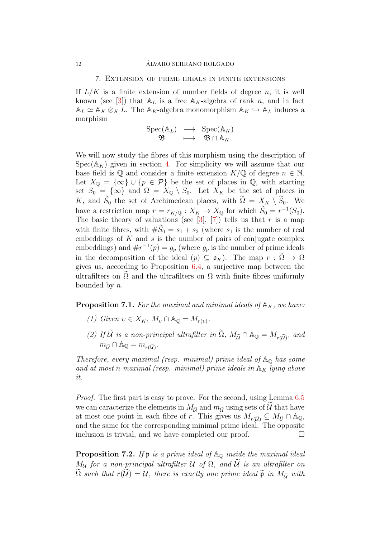#### 7. Extension of prime ideals in finite extensions

If  $L/K$  is a finite extension of number fields of degree n, it is well known (see [\[3\]](#page-13-0)) that  $A_L$  is a free  $A_K$ -algebra of rank n, and in fact  $A_L \simeq A_K \otimes_K L$ . The  $A_K$ -algebra monomorphism  $A_K \hookrightarrow A_L$  induces a morphism

$$
\begin{array}{rcl} \mathrm{Spec}(\mathbb{A}_L) & \longrightarrow & \mathrm{Spec}(\mathbb{A}_K) \\ \mathfrak{B} & \longmapsto & \mathfrak{B} \cap \mathbb{A}_K. \end{array}
$$

We will now study the fibres of this morphism using the description of  $Spec(\mathbb{A}_{K})$  given in section [4.](#page-4-0) For simplicity we will assume that our base field is  $\mathbb Q$  and consider a finite extension  $K/\mathbb Q$  of degree  $n \in \mathbb N$ . Let  $X_{\mathbb{Q}} = {\infty} \cup {\{p \in \mathcal{P}\}\}$  be the set of places in  $\mathbb{Q}$ , with starting set  $S_0 = {\infty}$  and  $\Omega = X_0 \setminus S_0$ . Let  $X_K$  be the set of places in K, and  $\widetilde{S}_0$  the set of Archimedean places, with  $\widetilde{\Omega} = X_K \setminus \widetilde{S}_0$ . We have a restriction map  $r = r_{K/\mathbb{Q}} : X_K \to X_{\mathbb{Q}}$  for which  $S_0 = r^{-1}(S_0)$ . The basic theory of valuations (see [\[3\]](#page-13-0), [\[7\]](#page-13-1)) tells us that r is a map with finite fibres, with  $#S_0 = s_1 + s_2$  (where  $s_1$  is the number of real embeddings of  $K$  and  $s$  is the number of pairs of conjugate complex embeddings) and  $\#r^{-1}(p) = g_p$  (where  $g_p$  is the number of prime ideals in the decomposition of the ideal  $(p) \subseteq \mathfrak{o}_K$ . The map  $r : \Omega \to \Omega$ gives us, according to Proposition [6.4,](#page-10-0) a surjective map between the ultrafilters on  $\Omega$  and the ultrafilters on  $\Omega$  with finite fibres uniformly bounded by n.

**Proposition 7.1.** For the maximal and minimal ideals of  $\mathbb{A}_K$ , we have:

- *(1) Given*  $v \in X_K$ *,*  $M_v \cap \mathbb{A}_{\mathbb{Q}} = M_{r(v)}$ *.*
- (2) If U is a non-principal ultrafilter in  $\Omega$ ,  $M_{\tilde{U}} \cap \mathbb{A}_{\mathbb{Q}} = M_{r(\tilde{U})}$ , and  $m_{\widetilde{\mathcal{U}}} \cap \mathbb{A}_{\mathbb{Q}} = m_{r(\widetilde{\mathcal{U}})}.$

*Therefore, every maximal (resp. minimal) prime ideal of*  $\mathbb{A}_{\mathbb{Q}}$  *has some* and at most *n* maximal (resp. minimal) prime ideals in  $\mathbb{A}_{K}$  lying above *it.*

*Proof.* The first part is easy to prove. For the second, using Lemma [6.5](#page-10-1) we can caracterize the elements in  $M_{\tilde{U}}$  and  $m_{\tilde{U}}$  using sets of U that have at most one point in each fibre of r. This gives us  $M_{r(\widetilde{U})} \subseteq M_{\widetilde{U}} \cap \mathbb{A}_{\mathbb{Q}},$ and the same for the corresponding minimal prime ideal. The opposite inclusion is trivial, and we have completed our proof.  $\Box$ 

Proposition 7.2. If  $\mathfrak p$  *is a prime ideal of*  $\mathbb A_{\mathbb Q}$  *inside the maximal ideal*  $M_{\mathcal{U}}$  for a non-principal ultrafilter  $\mathcal{U}$  of  $\Omega$ , and  $\mathcal{U}$  is an ultrafilter on  $\widetilde{\Omega}$  such that  $r(\widetilde{\mathcal{U}}) = \mathcal{U}$ , there is exactly one prime ideal  $\widetilde{\mathfrak{p}}$  in  $M_{\widetilde{\mathcal{U}}}$  with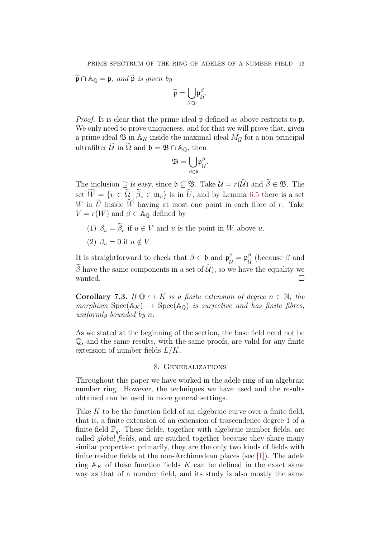$\widetilde{\mathfrak{p}} \cap \mathbb{A}_{\mathbb{Q}} = \mathfrak{p}$ *, and*  $\widetilde{\mathfrak{p}}$  *is given by* 

$$
\widetilde{\mathfrak{p}}=\underset{\beta\in\mathfrak{p}}{\bigcup}\mathfrak{p}_{\widetilde{\mathcal{U}}}^{\beta}.
$$

*Proof.* It is clear that the prime ideal  $\tilde{p}$  defined as above restricts to p. We only need to prove uniqueness, and for that we will prove that, given a prime ideal  $\mathfrak{B}$  in  $\mathbb{A}_K$  inside the maximal ideal  $M_{\widetilde{\mathcal{U}}}$  for a non-principal ultrafilter  $\mathcal{U}$  in  $\Omega$  and  $\mathfrak{b} = \mathfrak{B} \cap \mathbb{A}_{\mathbb{O}}$ , then

$$
\mathfrak{B}=\underset{\beta\in\mathfrak{b}}{\bigcup}\mathfrak{p}_{\widetilde{\mathcal{U}}}^{\beta}.
$$

The inclusion  $\supseteq$  is easy, since  $\mathfrak{b} \subseteq \mathfrak{B}$ . Take  $\mathcal{U} = r(\widetilde{\mathcal{U}})$  and  $\widetilde{\beta} \in \mathfrak{B}$ . The set  $\widetilde{W} = \{v \in \widetilde{\Omega} \mid \widetilde{\beta}_v \in \mathfrak{m}_v\}$  is in  $\widetilde{U}$ , and by Lemma [6.5](#page-10-1) there is a set W in  $\tilde{U}$  inside  $\widetilde{W}$  having at most one point in each fibre of r. Take  $V = r(W)$  and  $\beta \in A_{\mathbb{Q}}$  defined by

- (1)  $\beta_u = \tilde{\beta}_v$  if  $u \in V$  and v is the point in W above u.
- (2)  $\beta_u = 0$  if  $u \notin V$ .

It is straightforward to check that  $\beta \in \mathfrak{b}$  and  $\mathfrak{p}_{\tilde{\mathcal{U}}}^{\tilde{\beta}} = \mathfrak{p}_{\tilde{\mathcal{U}}}^{\beta}$  (because  $\beta$  and  $\widetilde{\beta}$  have the same components in a set of  $\widetilde{\mathcal{U}}$ ), so we have the equality we wanted. wanted.  $\Box$ 

**Corollary 7.3.** *If*  $\mathbb{Q} \hookrightarrow K$  *is a finite extension of degree*  $n \in \mathbb{N}$ *, the morphism*  $Spec(A_K) \rightarrow Spec(A_0)$  *is surjective and has finite fibres, uniformly bounded by* n*.*

As we stated at the beginning of the section, the base field need not be Q, and the same results, with the same proofs, are valid for any finite extension of number fields  $L/K$ .

### 8. Generalizations

Throughout this paper we have worked in the adele ring of an algebraic number ring. However, the techniques we have used and the results obtained can be used in more general settings.

Take K to be the function field of an algebraic curve over a finite field, that is, a finite extension of an extension of trascendence degree 1 of a finite field  $\mathbb{F}_q$ . These fields, together with algebraic number fields, are called *global fields*, and are studied together because they share many similar properties: primarily, they are the only two kinds of fields with finite residue fields at the non-Archimedean places (see [\[1\]](#page-13-5)). The adele ring  $\mathbb{A}_K$  of these function fields K can be defined in the exact same way as that of a number field, and its study is also mostly the same